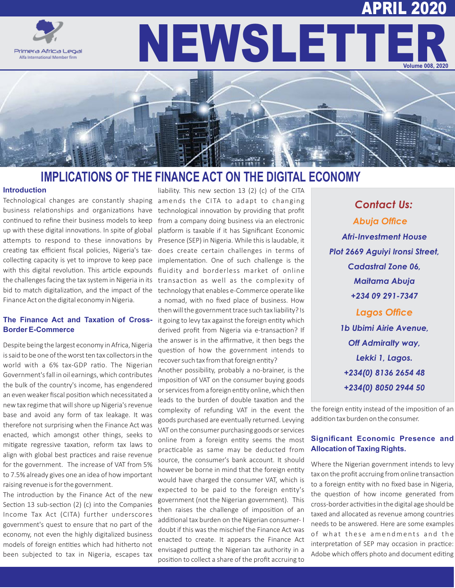# APRIL 2020



NEWSLETT **Volume 008, 2020**

## **IMPLICATIONS OF THE FINANCE ACT ON THE DIGITAL ECONOMY**

#### **Introduction**

Technological changes are constantly shaping amends the CITA to adapt to changing business relationships and organizations have technological innovation by providing that profit continued to refine their business models to keep up with these digital innovations. In spite of global attempts to respond to these innovations by Presence (SEP) in Nigeria. While this is laudable, it creating tax efficient fiscal policies, Nigeria's taxcollecting capacity is yet to improve to keep pace with this digital revolution. This article expounds the challenges facing the tax system in Nigeria in its bid to match digitalization, and the impact of the Finance Act on the digital economy in Nigeria.

#### **The Finance Act and Taxation of Cross-Border E-Commerce**

Despite being the largest economy in Africa, Nigeria is said to be one of the worst ten tax collectors in the world with a 6% tax-GDP ratio. The Nigerian Government's fall in oil earnings, which contributes the bulk of the country's income, has engendered an even weaker fiscal position which necessitated a new tax regime that will shore up Nigeria's revenue base and avoid any form of tax leakage. It was therefore not surprising when the Finance Act was enacted, which amongst other things, seeks to mitigate regressive taxation, reform tax laws to align with global best practices and raise revenue for the government. The increase of VAT from 5% to 7.5% already gives one an idea of how important raising revenue is for the government.

The introduction by the Finance Act of the new Section 13 sub-section (2) (c) into the Companies Income Tax Act (CITA) further underscores government's quest to ensure that no part of the economy, not even the highly digitalized business models of foreign entities which had hitherto not been subjected to tax in Nigeria, escapes tax

liability. This new section  $13$  (2) (c) of the CITA from a company doing business via an electronic platform is taxable if it has Significant Economic does create certain challenges in terms of implementation. One of such challenge is the fluidity and borderless market of online transaction as well as the complexity of technology that enables e-Commerce operate like a nomad, with no fixed place of business. How then will the government trace such tax liability? Is it going to levy tax against the foreign entity which derived profit from Nigeria via e-transaction? If the answer is in the affirmative, it then begs the question of how the government intends to recover such tax from that foreign entity?

Another possibility, probably a no-brainer, is the imposition of VAT on the consumer buying goods or services from a foreign entity online, which then leads to the burden of double taxation and the complexity of refunding VAT in the event the goods purchased are eventually returned. Levying VAT on the consumer purchasing goods or services online from a foreign entity seems the most practicable as same may be deducted from source, the consumer's bank account. It should however be borne in mind that the foreign entity would have charged the consumer VAT, which is expected to be paid to the foreign entity's government (not the Nigerian government). This then raises the challenge of imposition of an additional tax burden on the Nigerian consumer- I doubt if this was the mischief the Finance Act was enacted to create. It appears the Finance Act envisaged putting the Nigerian tax authority in a position to collect a share of the profit accruing to

*Contact Us:* **Abuja Office** *Afri-Investment House Plot 2669 Aguiyi Ironsi Street, Cadastral Zone 06, Maitama Abuja +234 09 291-7347* **Lagos Office** *1b Ubimi Airie Avenue, Off Admiralty way, Lekki 1, Lagos. +234(0) 8136 2654 48 +234(0) 8050 2944 50*

the foreign entity instead of the imposition of an addition tax burden on the consumer.

#### **Significant Economic Presence and Allocation of Taxing Rights.**

Where the Nigerian government intends to levy tax on the profit accruing from online transaction to a foreign entity with no fixed base in Nigeria, the question of how income generated from cross-border activities in the digital age should be taxed and allocated as revenue among countries needs to be answered. Here are some examples of what these amendments and the interpretation of SEP may occasion in practice: Adobe which offers photo and document editing